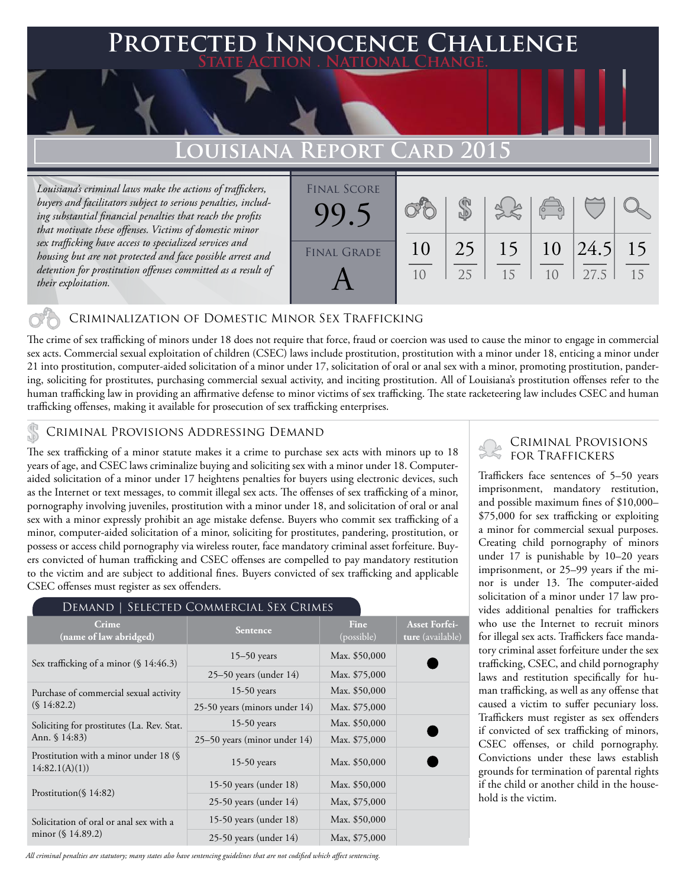### **FED INNOCENCE CHALLENGE State Action . National Change.**

## **Louisiana Report Card 2015**

*Louisiana's criminal laws make the actions of traffickers, buyers and facilitators subject to serious penalties, including substantial financial penalties that reach the profits that motivate these offenses. Victims of domestic minor sex trafficking have access to specialized services and housing but are not protected and face possible arrest and detention for prostitution offenses committed as a result of their exploitation.*

| <b>FINAL SCORE</b> |    |    |    | $\begin{pmatrix} 0 & 0 \\ 0 & 0 \end{pmatrix}$ |      |    |
|--------------------|----|----|----|------------------------------------------------|------|----|
| <b>FINAL GRADE</b> | 10 | 25 | 15 | 10                                             | 24.5 | 15 |
|                    | 10 | 25 | 15 | 1 <sub>0</sub>                                 | 27.5 | 15 |

### Criminalization of Domestic Minor Sex Trafficking

The crime of sex trafficking of minors under 18 does not require that force, fraud or coercion was used to cause the minor to engage in commercial sex acts. Commercial sexual exploitation of children (CSEC) laws include prostitution, prostitution with a minor under 18, enticing a minor under 21 into prostitution, computer-aided solicitation of a minor under 17, solicitation of oral or anal sex with a minor, promoting prostitution, pandering, soliciting for prostitutes, purchasing commercial sexual activity, and inciting prostitution. All of Louisiana's prostitution offenses refer to the human trafficking law in providing an affirmative defense to minor victims of sex trafficking. The state racketeering law includes CSEC and human trafficking offenses, making it available for prosecution of sex trafficking enterprises.

#### Criminal Provisions Addressing Demand

The sex trafficking of a minor statute makes it a crime to purchase sex acts with minors up to 18 years of age, and CSEC laws criminalize buying and soliciting sex with a minor under 18. Computeraided solicitation of a minor under 17 heightens penalties for buyers using electronic devices, such as the Internet or text messages, to commit illegal sex acts. The offenses of sex trafficking of a minor, pornography involving juveniles, prostitution with a minor under 18, and solicitation of oral or anal sex with a minor expressly prohibit an age mistake defense. Buyers who commit sex trafficking of a minor, computer-aided solicitation of a minor, soliciting for prostitutes, pandering, prostitution, or possess or access child pornography via wireless router, face mandatory criminal asset forfeiture. Buyers convicted of human trafficking and CSEC offenses are compelled to pay mandatory restitution to the victim and are subject to additional fines. Buyers convicted of sex trafficking and applicable CSEC offenses must register as sex offenders.

| DEMAND   SELECTED COMMERCIAL SEX CRIMES                   |                               |                           |                                          |  |  |  |  |
|-----------------------------------------------------------|-------------------------------|---------------------------|------------------------------------------|--|--|--|--|
| Crime<br>(name of law abridged)                           | <b>Sentence</b>               | <b>Fine</b><br>(possible) | <b>Asset Forfei-</b><br>ture (available) |  |  |  |  |
| Sex trafficking of a minor $(\S 14:46.3)$                 | $15-50$ years                 | Max. \$50,000             |                                          |  |  |  |  |
|                                                           | $25-50$ years (under 14)      | Max. \$75,000             |                                          |  |  |  |  |
| Purchase of commercial sexual activity                    | $15-50$ years                 | Max. \$50,000             |                                          |  |  |  |  |
| (S14:82.2)                                                | 25-50 years (minors under 14) | Max. \$75,000             |                                          |  |  |  |  |
| Soliciting for prostitutes (La. Rev. Stat.                | $15-50$ years                 | Max. \$50,000             |                                          |  |  |  |  |
| Ann. $$14:83$                                             | 25–50 years (minor under 14)  | Max. \$75,000             |                                          |  |  |  |  |
| Prostitution with a minor under 18 $(\S$<br>14:82.1(A)(1) | $15-50$ years                 | Max. \$50,000             |                                          |  |  |  |  |
|                                                           | 15-50 years (under $18$ )     | Max. \$50,000             |                                          |  |  |  |  |
| Prostitution( $$14:82$ )                                  | $25-50$ years (under 14)      | Max, \$75,000             |                                          |  |  |  |  |
| Solicitation of oral or anal sex with a                   | 15-50 years (under $18$ )     | Max. \$50,000             |                                          |  |  |  |  |
| minor $(\S 14.89.2)$                                      | $25-50$ years (under 14)      | Max, \$75,000             |                                          |  |  |  |  |

*All criminal penalties are statutory; many states also have sentencing guidelines that are not codified which affect sentencing.* 

#### Criminal Provisions for Traffickers

Traffickers face sentences of 5–50 years imprisonment, mandatory restitution, and possible maximum fines of \$10,000– \$75,000 for sex trafficking or exploiting a minor for commercial sexual purposes. Creating child pornography of minors under 17 is punishable by 10–20 years imprisonment, or 25–99 years if the minor is under 13. The computer-aided solicitation of a minor under 17 law provides additional penalties for traffickers who use the Internet to recruit minors for illegal sex acts. Traffickers face mandatory criminal asset forfeiture under the sex trafficking, CSEC, and child pornography laws and restitution specifically for human trafficking, as well as any offense that caused a victim to suffer pecuniary loss. Traffickers must register as sex offenders if convicted of sex trafficking of minors, CSEC offenses, or child pornography. Convictions under these laws establish grounds for termination of parental rights if the child or another child in the household is the victim.